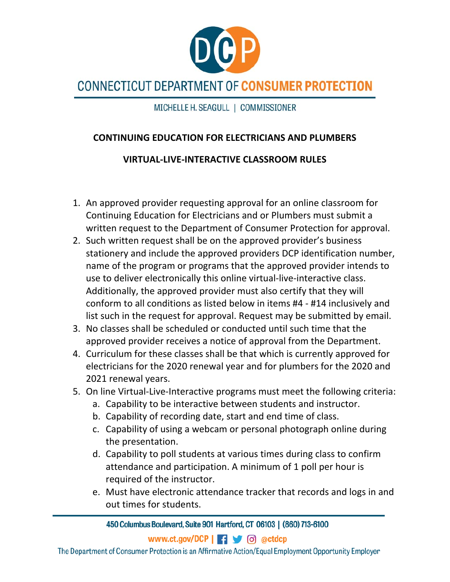

## **CONNECTICUT DEPARTMENT OF CONSUMER PROTECTION**

MICHELLE H. SEAGULL | COMMISSIONER

## **CONTINUING EDUCATION FOR ELECTRICIANS AND PLUMBERS**

## **VIRTUAL‐LIVE‐INTERACTIVE CLASSROOM RULES**

- 1. An approved provider requesting approval for an online classroom for Continuing Education for Electricians and or Plumbers must submit a written request to the Department of Consumer Protection for approval.
- 2. Such written request shall be on the approved provider's business stationery and include the approved providers DCP identification number, name of the program or programs that the approved provider intends to use to deliver electronically this online virtual‐live‐interactive class. Additionally, the approved provider must also certify that they will conform to all conditions as listed below in items #4 ‐ #14 inclusively and list such in the request for approval. Request may be submitted by email.
- 3. No classes shall be scheduled or conducted until such time that the approved provider receives a notice of approval from the Department.
- 4. Curriculum for these classes shall be that which is currently approved for electricians for the 2020 renewal year and for plumbers for the 2020 and 2021 renewal years.
- 5. On line Virtual-Live-Interactive programs must meet the following criteria:
	- a. Capability to be interactive between students and instructor.
	- b. Capability of recording date, start and end time of class.
	- c. Capability of using a webcam or personal photograph online during the presentation.
	- d. Capability to poll students at various times during class to confirm attendance and participation. A minimum of 1 poll per hour is required of the instructor.
	- e. Must have electronic attendance tracker that records and logs in and out times for students.

450 Columbus Boulevard, Suite 901 Hartford, CT 06103 | (860) 713-6100

The Department of Consumer Protection is an Affirmative Action/Equal Employment Opportunity Employer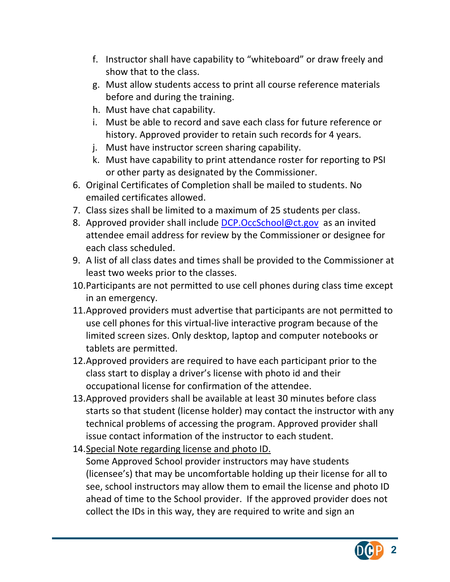- f. Instructor shall have capability to "whiteboard" or draw freely and show that to the class.
- g. Must allow students access to print all course reference materials before and during the training.
- h. Must have chat capability.
- i. Must be able to record and save each class for future reference or history. Approved provider to retain such records for 4 years.
- j. Must have instructor screen sharing capability.
- k. Must have capability to print attendance roster for reporting to PSI or other party as designated by the Commissioner.
- 6. Original Certificates of Completion shall be mailed to students. No emailed certificates allowed.
- 7. Class sizes shall be limited to a maximum of 25 students per class.
- 8. Approved provider shall include DCP.OccSchool@ct.gov as an invited attendee email address for review by the Commissioner or designee for each class scheduled.
- 9. A list of all class dates and times shall be provided to the Commissioner at least two weeks prior to the classes.
- 10.Participants are not permitted to use cell phones during class time except in an emergency.
- 11.Approved providers must advertise that participants are not permitted to use cell phones for this virtual‐live interactive program because of the limited screen sizes. Only desktop, laptop and computer notebooks or tablets are permitted.
- 12.Approved providers are required to have each participant prior to the class start to display a driver's license with photo id and their occupational license for confirmation of the attendee.
- 13.Approved providers shall be available at least 30 minutes before class starts so that student (license holder) may contact the instructor with any technical problems of accessing the program. Approved provider shall issue contact information of the instructor to each student.
- 14.Special Note regarding license and photo ID.

Some Approved School provider instructors may have students (licensee's) that may be uncomfortable holding up their license for all to see, school instructors may allow them to email the license and photo ID ahead of time to the School provider. If the approved provider does not collect the IDs in this way, they are required to write and sign an